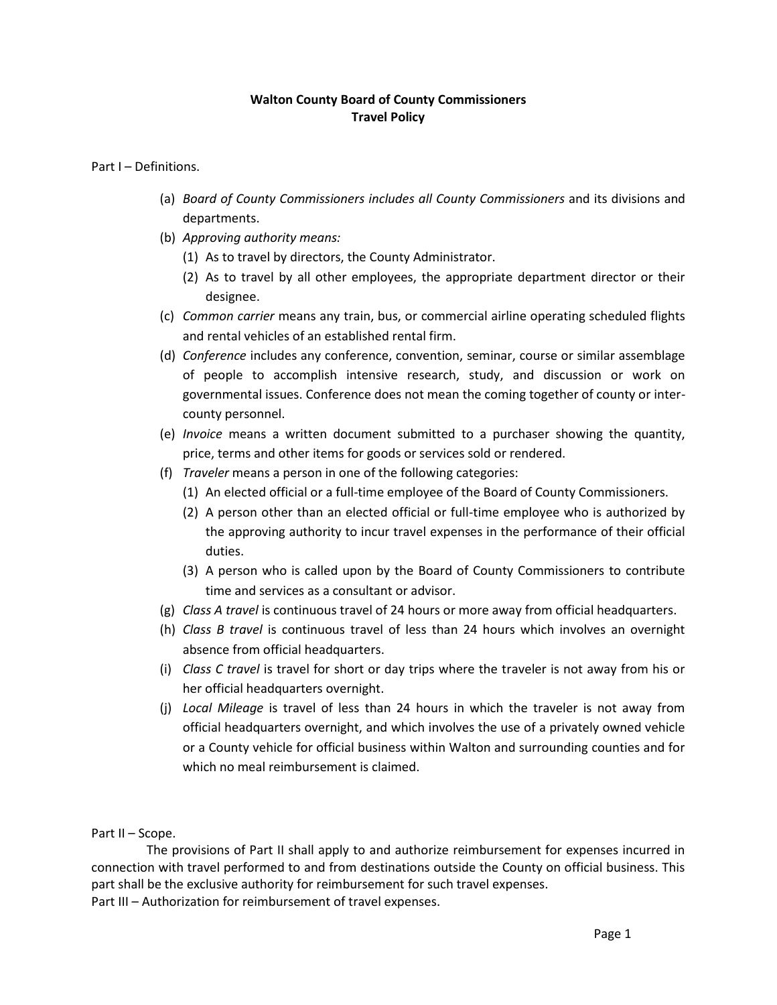### **Walton County Board of County Commissioners Travel Policy**

Part I – Definitions.

- (a) *Board of County Commissioners includes all County Commissioners* and its divisions and departments.
- (b) *Approving authority means:*
	- (1) As to travel by directors, the County Administrator.
	- (2) As to travel by all other employees, the appropriate department director or their designee.
- (c) *Common carrier* means any train, bus, or commercial airline operating scheduled flights and rental vehicles of an established rental firm.
- (d) *Conference* includes any conference, convention, seminar, course or similar assemblage of people to accomplish intensive research, study, and discussion or work on governmental issues. Conference does not mean the coming together of county or intercounty personnel.
- (e) *Invoice* means a written document submitted to a purchaser showing the quantity, price, terms and other items for goods or services sold or rendered.
- (f) *Traveler* means a person in one of the following categories:
	- (1) An elected official or a full-time employee of the Board of County Commissioners.
	- (2) A person other than an elected official or full-time employee who is authorized by the approving authority to incur travel expenses in the performance of their official duties.
	- (3) A person who is called upon by the Board of County Commissioners to contribute time and services as a consultant or advisor.
- (g) *Class A travel* is continuous travel of 24 hours or more away from official headquarters.
- (h) *Class B travel* is continuous travel of less than 24 hours which involves an overnight absence from official headquarters.
- (i) *Class C travel* is travel for short or day trips where the traveler is not away from his or her official headquarters overnight.
- (j) *Local Mileage* is travel of less than 24 hours in which the traveler is not away from official headquarters overnight, and which involves the use of a privately owned vehicle or a County vehicle for official business within Walton and surrounding counties and for which no meal reimbursement is claimed.

Part II – Scope.

 The provisions of Part II shall apply to and authorize reimbursement for expenses incurred in connection with travel performed to and from destinations outside the County on official business. This part shall be the exclusive authority for reimbursement for such travel expenses. Part III – Authorization for reimbursement of travel expenses.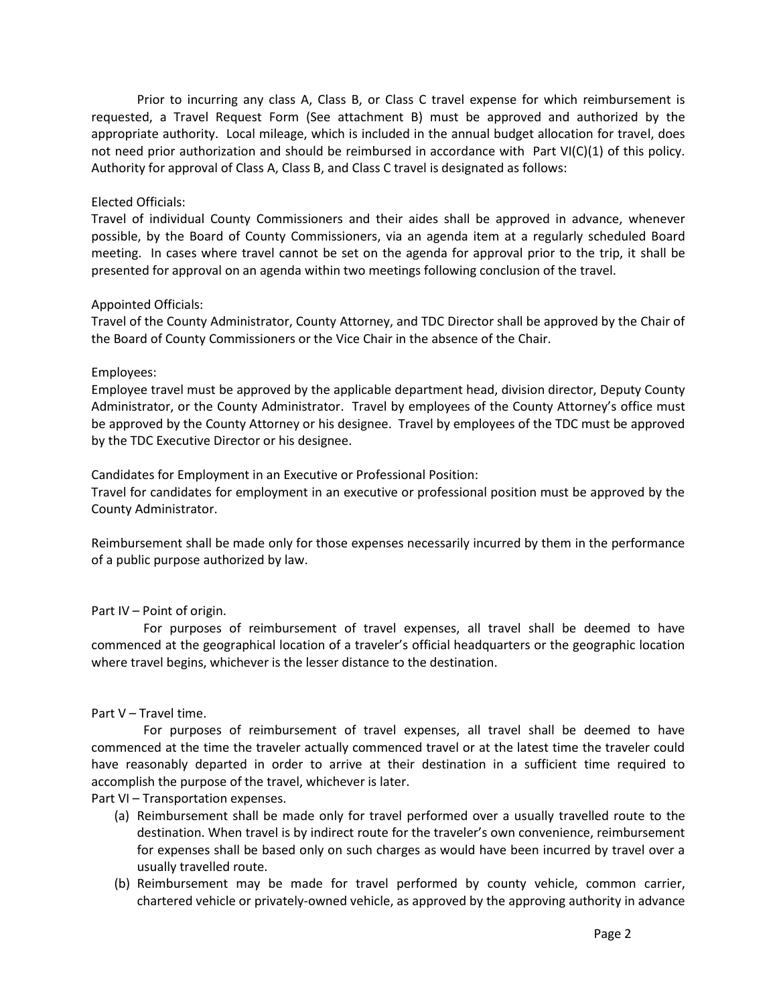Prior to incurring any class A, Class B, or Class C travel expense for which reimbursement is requested, a Travel Request Form (See attachment B) must be approved and authorized by the appropriate authority. Local mileage, which is included in the annual budget allocation for travel, does not need prior authorization and should be reimbursed in accordance with Part VI(C)(1) of this policy. Authority for approval of Class A, Class B, and Class C travel is designated as follows:

### Elected Officials:

Travel of individual County Commissioners and their aides shall be approved in advance, whenever possible, by the Board of County Commissioners, via an agenda item at a regularly scheduled Board meeting. In cases where travel cannot be set on the agenda for approval prior to the trip, it shall be presented for approval on an agenda within two meetings following conclusion of the travel.

### Appointed Officials:

Travel of the County Administrator, County Attorney, and TDC Director shall be approved by the Chair of the Board of County Commissioners or the Vice Chair in the absence of the Chair.

### Employees:

Employee travel must be approved by the applicable department head, division director, Deputy County Administrator, or the County Administrator. Travel by employees of the County Attorney's office must be approved by the County Attorney or his designee. Travel by employees of the TDC must be approved by the TDC Executive Director or his designee.

Candidates for Employment in an Executive or Professional Position:

Travel for candidates for employment in an executive or professional position must be approved by the County Administrator.

Reimbursement shall be made only for those expenses necessarily incurred by them in the performance of a public purpose authorized by law.

# Part IV – Point of origin.

 For purposes of reimbursement of travel expenses, all travel shall be deemed to have commenced at the geographical location of a traveler's official headquarters or the geographic location where travel begins, whichever is the lesser distance to the destination.

# Part V – Travel time.

 For purposes of reimbursement of travel expenses, all travel shall be deemed to have commenced at the time the traveler actually commenced travel or at the latest time the traveler could have reasonably departed in order to arrive at their destination in a sufficient time required to accomplish the purpose of the travel, whichever is later.

Part VI – Transportation expenses.

- (a) Reimbursement shall be made only for travel performed over a usually travelled route to the destination. When travel is by indirect route for the traveler's own convenience, reimbursement for expenses shall be based only on such charges as would have been incurred by travel over a usually travelled route.
- (b) Reimbursement may be made for travel performed by county vehicle, common carrier, chartered vehicle or privately-owned vehicle, as approved by the approving authority in advance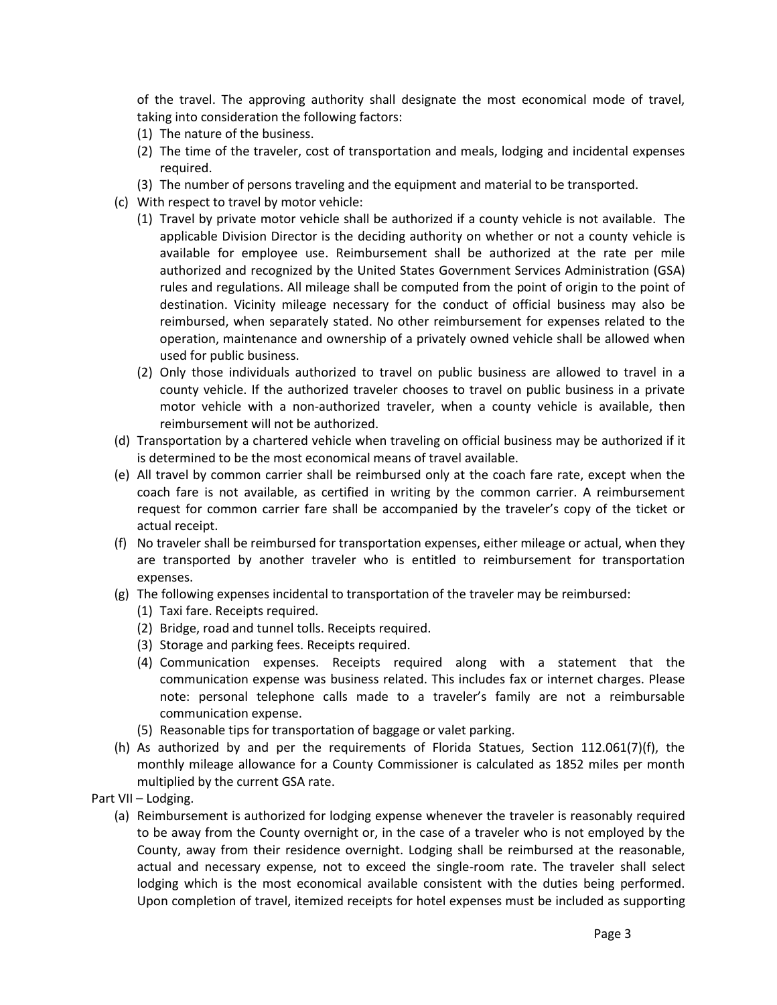of the travel. The approving authority shall designate the most economical mode of travel, taking into consideration the following factors:

- (1) The nature of the business.
- (2) The time of the traveler, cost of transportation and meals, lodging and incidental expenses required.
- (3) The number of persons traveling and the equipment and material to be transported.
- (c) With respect to travel by motor vehicle:
	- (1) Travel by private motor vehicle shall be authorized if a county vehicle is not available. The applicable Division Director is the deciding authority on whether or not a county vehicle is available for employee use. Reimbursement shall be authorized at the rate per mile authorized and recognized by the United States Government Services Administration (GSA) rules and regulations. All mileage shall be computed from the point of origin to the point of destination. Vicinity mileage necessary for the conduct of official business may also be reimbursed, when separately stated. No other reimbursement for expenses related to the operation, maintenance and ownership of a privately owned vehicle shall be allowed when used for public business.
	- (2) Only those individuals authorized to travel on public business are allowed to travel in a county vehicle. If the authorized traveler chooses to travel on public business in a private motor vehicle with a non-authorized traveler, when a county vehicle is available, then reimbursement will not be authorized.
- (d) Transportation by a chartered vehicle when traveling on official business may be authorized if it is determined to be the most economical means of travel available.
- (e) All travel by common carrier shall be reimbursed only at the coach fare rate, except when the coach fare is not available, as certified in writing by the common carrier. A reimbursement request for common carrier fare shall be accompanied by the traveler's copy of the ticket or actual receipt.
- (f) No traveler shall be reimbursed for transportation expenses, either mileage or actual, when they are transported by another traveler who is entitled to reimbursement for transportation expenses.
- (g) The following expenses incidental to transportation of the traveler may be reimbursed:
	- (1) Taxi fare. Receipts required.
	- (2) Bridge, road and tunnel tolls. Receipts required.
	- (3) Storage and parking fees. Receipts required.
	- (4) Communication expenses. Receipts required along with a statement that the communication expense was business related. This includes fax or internet charges. Please note: personal telephone calls made to a traveler's family are not a reimbursable communication expense.
	- (5) Reasonable tips for transportation of baggage or valet parking.
- (h) As authorized by and per the requirements of Florida Statues, Section 112.061(7)(f), the monthly mileage allowance for a County Commissioner is calculated as 1852 miles per month multiplied by the current GSA rate.
- Part VII Lodging.
	- (a) Reimbursement is authorized for lodging expense whenever the traveler is reasonably required to be away from the County overnight or, in the case of a traveler who is not employed by the County, away from their residence overnight. Lodging shall be reimbursed at the reasonable, actual and necessary expense, not to exceed the single-room rate. The traveler shall select lodging which is the most economical available consistent with the duties being performed. Upon completion of travel, itemized receipts for hotel expenses must be included as supporting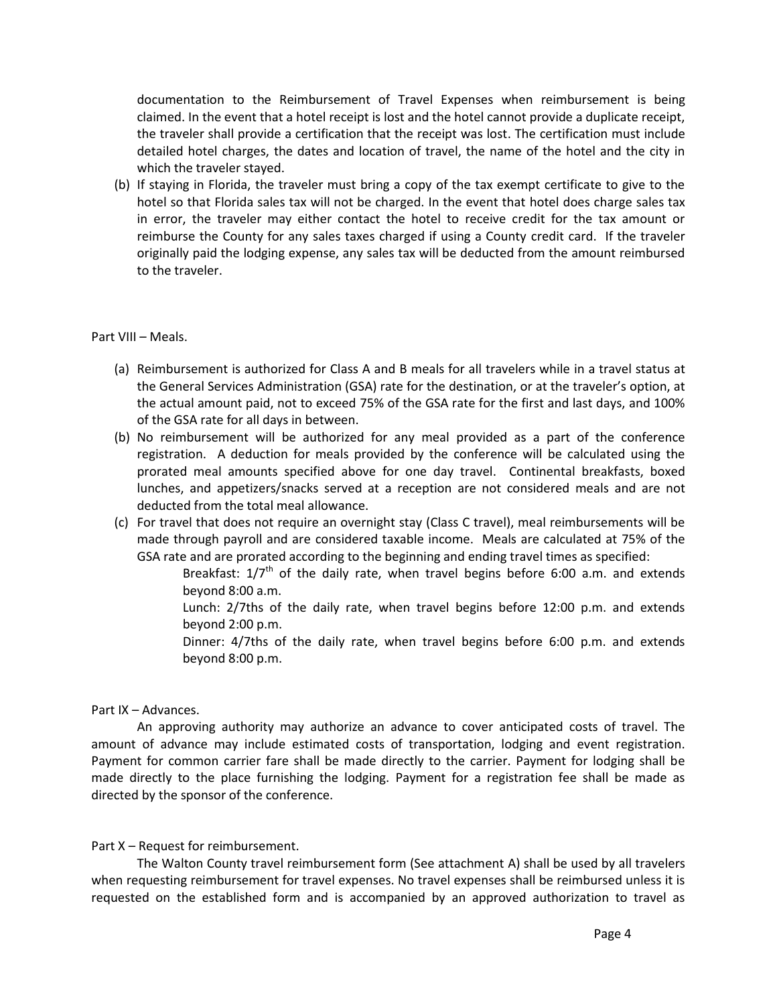documentation to the Reimbursement of Travel Expenses when reimbursement is being claimed. In the event that a hotel receipt is lost and the hotel cannot provide a duplicate receipt, the traveler shall provide a certification that the receipt was lost. The certification must include detailed hotel charges, the dates and location of travel, the name of the hotel and the city in which the traveler stayed.

(b) If staying in Florida, the traveler must bring a copy of the tax exempt certificate to give to the hotel so that Florida sales tax will not be charged. In the event that hotel does charge sales tax in error, the traveler may either contact the hotel to receive credit for the tax amount or reimburse the County for any sales taxes charged if using a County credit card. If the traveler originally paid the lodging expense, any sales tax will be deducted from the amount reimbursed to the traveler.

#### Part VIII – Meals.

- (a) Reimbursement is authorized for Class A and B meals for all travelers while in a travel status at the General Services Administration (GSA) rate for the destination, or at the traveler's option, at the actual amount paid, not to exceed 75% of the GSA rate for the first and last days, and 100% of the GSA rate for all days in between.
- (b) No reimbursement will be authorized for any meal provided as a part of the conference registration. A deduction for meals provided by the conference will be calculated using the prorated meal amounts specified above for one day travel. Continental breakfasts, boxed lunches, and appetizers/snacks served at a reception are not considered meals and are not deducted from the total meal allowance.
- (c) For travel that does not require an overnight stay (Class C travel), meal reimbursements will be made through payroll and are considered taxable income. Meals are calculated at 75% of the GSA rate and are prorated according to the beginning and ending travel times as specified:

Breakfast:  $1/7^{th}$  of the daily rate, when travel begins before 6:00 a.m. and extends beyond 8:00 a.m.

Lunch: 2/7ths of the daily rate, when travel begins before 12:00 p.m. and extends beyond 2:00 p.m.

Dinner: 4/7ths of the daily rate, when travel begins before 6:00 p.m. and extends beyond 8:00 p.m.

### Part IX – Advances.

An approving authority may authorize an advance to cover anticipated costs of travel. The amount of advance may include estimated costs of transportation, lodging and event registration. Payment for common carrier fare shall be made directly to the carrier. Payment for lodging shall be made directly to the place furnishing the lodging. Payment for a registration fee shall be made as directed by the sponsor of the conference.

### Part X – Request for reimbursement.

The Walton County travel reimbursement form (See attachment A) shall be used by all travelers when requesting reimbursement for travel expenses. No travel expenses shall be reimbursed unless it is requested on the established form and is accompanied by an approved authorization to travel as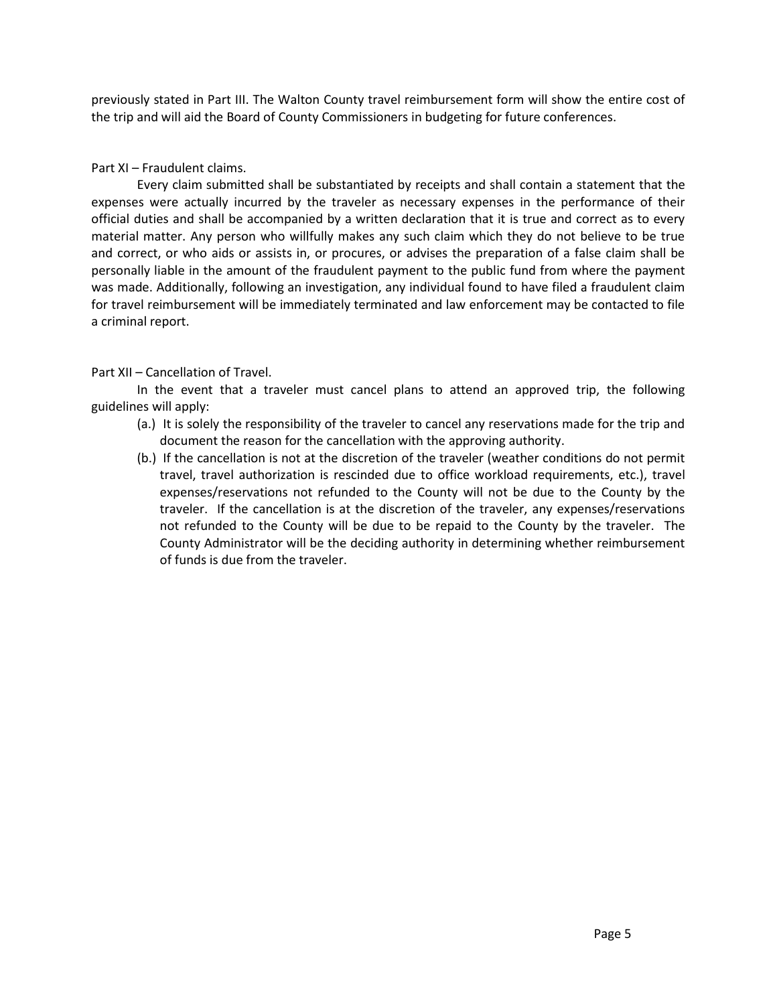previously stated in Part III. The Walton County travel reimbursement form will show the entire cost of the trip and will aid the Board of County Commissioners in budgeting for future conferences.

Part XI – Fraudulent claims.

Every claim submitted shall be substantiated by receipts and shall contain a statement that the expenses were actually incurred by the traveler as necessary expenses in the performance of their official duties and shall be accompanied by a written declaration that it is true and correct as to every material matter. Any person who willfully makes any such claim which they do not believe to be true and correct, or who aids or assists in, or procures, or advises the preparation of a false claim shall be personally liable in the amount of the fraudulent payment to the public fund from where the payment was made. Additionally, following an investigation, any individual found to have filed a fraudulent claim for travel reimbursement will be immediately terminated and law enforcement may be contacted to file a criminal report.

# Part XII – Cancellation of Travel.

In the event that a traveler must cancel plans to attend an approved trip, the following guidelines will apply:

- (a.) It is solely the responsibility of the traveler to cancel any reservations made for the trip and document the reason for the cancellation with the approving authority.
- (b.) If the cancellation is not at the discretion of the traveler (weather conditions do not permit travel, travel authorization is rescinded due to office workload requirements, etc.), travel expenses/reservations not refunded to the County will not be due to the County by the traveler. If the cancellation is at the discretion of the traveler, any expenses/reservations not refunded to the County will be due to be repaid to the County by the traveler. The County Administrator will be the deciding authority in determining whether reimbursement of funds is due from the traveler.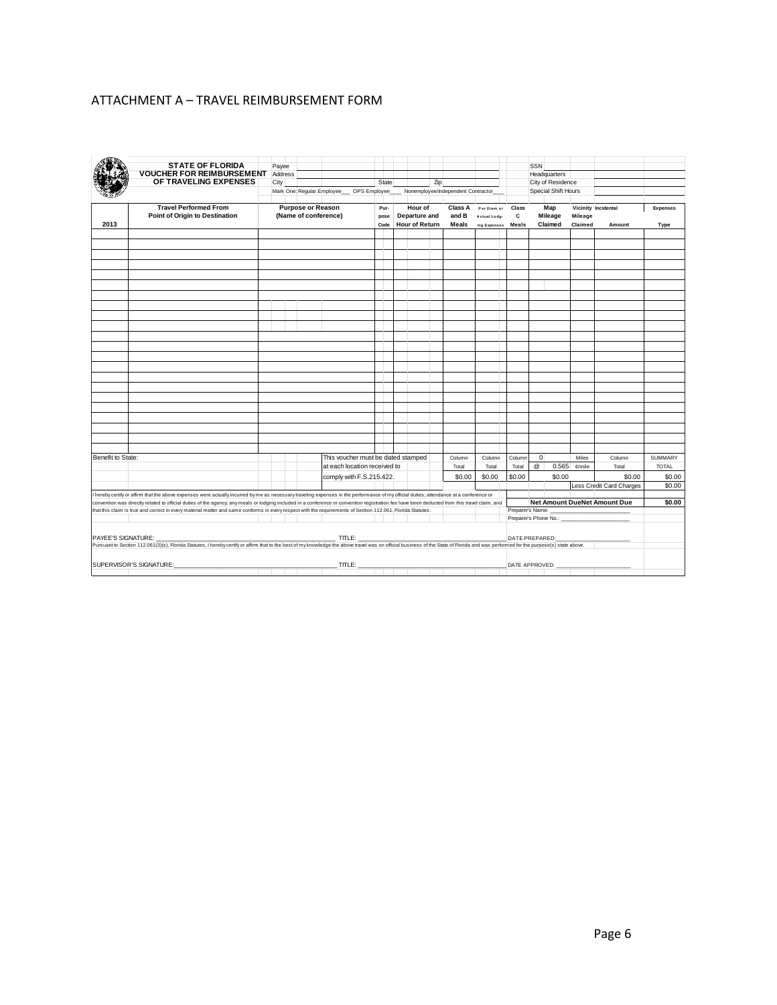# ATTACHMENT A – TRAVEL REIMBURSEMENT FORM

|                                                                                                                                                                                 | <b>STATE OF FLORIDA</b><br><b>VOUCHER FOR REIMBURSEMENT</b><br>OF TRAVELING EXPENSES                                                                                                          | Payee<br>Address<br>City |                          | Mark One: Regular Employee_ | OPS Employee                 | State                              |  |                                                   | Zip | Nonemployee/Independent Contractor |                                             |                               | SSN         | Headquarters<br>City of Residence<br>Special Shift Hours |                    |                               |                  |
|---------------------------------------------------------------------------------------------------------------------------------------------------------------------------------|-----------------------------------------------------------------------------------------------------------------------------------------------------------------------------------------------|--------------------------|--------------------------|-----------------------------|------------------------------|------------------------------------|--|---------------------------------------------------|-----|------------------------------------|---------------------------------------------|-------------------------------|-------------|----------------------------------------------------------|--------------------|-------------------------------|------------------|
| 2013                                                                                                                                                                            | <b>Travel Performed From</b><br><b>Point of Origin to Destination</b>                                                                                                                         |                          | <b>Purpose or Reason</b> | (Name of conference)        |                              | Pur-<br>pose<br>Code               |  | Hour of<br>Departure and<br><b>Hour of Return</b> |     | <b>Class A</b><br>and B<br>Meals   | Per Diem or<br>Actual Lodg-<br>ing Expenses | Class<br>$\mathbf c$<br>Meals |             | Map<br>Mileage<br>Claimed                                | Mileage<br>Claimed | Vicinity Incidental<br>Amount | Expenses<br>Type |
|                                                                                                                                                                                 |                                                                                                                                                                                               |                          |                          |                             |                              |                                    |  |                                                   |     |                                    |                                             |                               |             |                                                          |                    |                               |                  |
|                                                                                                                                                                                 |                                                                                                                                                                                               |                          |                          |                             |                              |                                    |  |                                                   |     |                                    |                                             |                               |             |                                                          |                    |                               |                  |
|                                                                                                                                                                                 |                                                                                                                                                                                               |                          |                          |                             |                              |                                    |  |                                                   |     |                                    |                                             |                               |             |                                                          |                    |                               |                  |
|                                                                                                                                                                                 |                                                                                                                                                                                               |                          |                          |                             |                              |                                    |  |                                                   |     |                                    |                                             |                               |             |                                                          |                    |                               |                  |
|                                                                                                                                                                                 |                                                                                                                                                                                               |                          |                          |                             |                              |                                    |  |                                                   |     |                                    |                                             |                               |             |                                                          |                    |                               |                  |
|                                                                                                                                                                                 |                                                                                                                                                                                               |                          |                          |                             |                              |                                    |  |                                                   |     |                                    |                                             |                               |             |                                                          |                    |                               |                  |
|                                                                                                                                                                                 |                                                                                                                                                                                               |                          |                          |                             |                              |                                    |  |                                                   |     |                                    |                                             |                               |             |                                                          |                    |                               |                  |
|                                                                                                                                                                                 |                                                                                                                                                                                               |                          |                          |                             |                              |                                    |  |                                                   |     |                                    |                                             |                               |             |                                                          |                    |                               |                  |
|                                                                                                                                                                                 |                                                                                                                                                                                               |                          |                          |                             |                              |                                    |  |                                                   |     |                                    |                                             |                               |             |                                                          |                    |                               |                  |
|                                                                                                                                                                                 |                                                                                                                                                                                               |                          |                          |                             |                              |                                    |  |                                                   |     |                                    |                                             |                               |             |                                                          |                    |                               |                  |
|                                                                                                                                                                                 |                                                                                                                                                                                               |                          |                          |                             |                              |                                    |  |                                                   |     |                                    |                                             |                               |             |                                                          |                    |                               |                  |
|                                                                                                                                                                                 |                                                                                                                                                                                               |                          |                          |                             |                              |                                    |  |                                                   |     |                                    |                                             |                               |             |                                                          |                    |                               |                  |
|                                                                                                                                                                                 |                                                                                                                                                                                               |                          |                          |                             |                              |                                    |  |                                                   |     |                                    |                                             |                               |             |                                                          |                    |                               |                  |
|                                                                                                                                                                                 |                                                                                                                                                                                               |                          |                          |                             |                              |                                    |  |                                                   |     |                                    |                                             |                               |             |                                                          |                    |                               |                  |
|                                                                                                                                                                                 |                                                                                                                                                                                               |                          |                          |                             |                              |                                    |  |                                                   |     |                                    |                                             |                               |             |                                                          |                    |                               |                  |
|                                                                                                                                                                                 |                                                                                                                                                                                               |                          |                          |                             |                              |                                    |  |                                                   |     |                                    |                                             |                               |             |                                                          |                    |                               |                  |
|                                                                                                                                                                                 |                                                                                                                                                                                               |                          |                          |                             |                              |                                    |  |                                                   |     |                                    |                                             |                               |             |                                                          |                    |                               |                  |
|                                                                                                                                                                                 |                                                                                                                                                                                               |                          |                          |                             |                              |                                    |  |                                                   |     |                                    |                                             |                               |             |                                                          |                    |                               |                  |
|                                                                                                                                                                                 |                                                                                                                                                                                               |                          |                          |                             |                              |                                    |  |                                                   |     |                                    |                                             |                               |             |                                                          |                    |                               |                  |
|                                                                                                                                                                                 |                                                                                                                                                                                               |                          |                          |                             |                              |                                    |  |                                                   |     |                                    |                                             |                               |             |                                                          |                    |                               |                  |
|                                                                                                                                                                                 |                                                                                                                                                                                               |                          |                          |                             |                              |                                    |  |                                                   |     |                                    |                                             |                               |             |                                                          |                    |                               |                  |
| Benefit to State:                                                                                                                                                               |                                                                                                                                                                                               |                          |                          |                             |                              | This voucher must be dated stamped |  |                                                   |     | Column                             | Column                                      | Column                        | $\mathbf 0$ |                                                          | Miles              | Column                        | <b>SUMMARY</b>   |
|                                                                                                                                                                                 |                                                                                                                                                                                               |                          |                          |                             | at each location received to |                                    |  |                                                   |     | Total                              | Total                                       | Total                         | $^{\circ}$  | 0.565                                                    | ¢/mile             | Total                         | <b>TOTAL</b>     |
|                                                                                                                                                                                 |                                                                                                                                                                                               |                          |                          |                             | comply with F.S.215.422.     |                                    |  |                                                   |     | \$0.00                             | \$0.00                                      | \$0.00                        |             | \$0.00                                                   |                    | \$0.00                        | \$0.00           |
|                                                                                                                                                                                 | I hereby certify or affirm that the above expenses were actually incurred by me as necessary traveling expenses in the performance of my official duties; attendance at a conference or       |                          |                          |                             |                              |                                    |  |                                                   |     |                                    |                                             |                               |             |                                                          |                    | Less Credit Card Charges      | \$0.00           |
|                                                                                                                                                                                 | convention was directly related to official duties of the agency, any meals or lodging included in a conference or convention registration fee have been deducted from this travel claim, and |                          |                          |                             |                              |                                    |  |                                                   |     |                                    |                                             |                               |             |                                                          |                    | Net Amount DueNet Amount Due  | \$0.00           |
| that this claim is true and correct in every material matter and same conforms in every respect with the requirements of Section 112.061, Florida Statutes.<br>Preparer's Name: |                                                                                                                                                                                               |                          |                          |                             |                              |                                    |  |                                                   |     |                                    |                                             |                               |             |                                                          |                    |                               |                  |
|                                                                                                                                                                                 |                                                                                                                                                                                               |                          |                          |                             |                              |                                    |  |                                                   |     |                                    |                                             |                               |             | Preparer's Phone No.: __                                 |                    |                               |                  |
|                                                                                                                                                                                 |                                                                                                                                                                                               |                          |                          |                             |                              |                                    |  |                                                   |     |                                    |                                             |                               |             |                                                          |                    |                               |                  |
|                                                                                                                                                                                 |                                                                                                                                                                                               |                          |                          |                             |                              |                                    |  |                                                   |     |                                    |                                             |                               |             |                                                          |                    |                               |                  |
|                                                                                                                                                                                 |                                                                                                                                                                                               |                          |                          |                             |                              |                                    |  |                                                   |     |                                    |                                             |                               |             |                                                          |                    |                               |                  |
|                                                                                                                                                                                 | SUPERVISOR'S SIGNATURE:                                                                                                                                                                       |                          |                          |                             |                              |                                    |  |                                                   |     |                                    |                                             | DATE APPROVED:                |             |                                                          |                    |                               |                  |
|                                                                                                                                                                                 |                                                                                                                                                                                               |                          |                          |                             |                              |                                    |  |                                                   |     |                                    |                                             |                               |             |                                                          |                    |                               |                  |